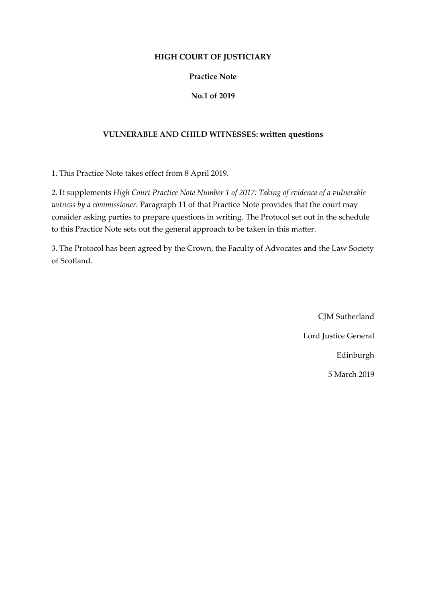## **HIGH COURT OF JUSTICIARY**

## **Practice Note**

# **No.1 of 2019**

## **VULNERABLE AND CHILD WITNESSES: written questions**

1. This Practice Note takes effect from 8 April 2019.

2. It supplements *High Court Practice Note Number 1 of 2017: Taking of evidence of a vulnerable witness by a commissioner.* Paragraph 11 of that Practice Note provides that the court may consider asking parties to prepare questions in writing. The Protocol set out in the schedule to this Practice Note sets out the general approach to be taken in this matter.

3. The Protocol has been agreed by the Crown, the Faculty of Advocates and the Law Society of Scotland.

> CJM Sutherland Lord Justice General Edinburgh 5 March 2019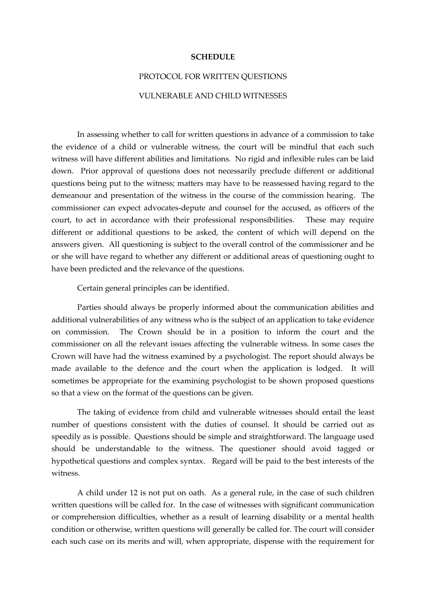#### **SCHEDULE**

# PROTOCOL FOR WRITTEN QUESTIONS

## VULNERABLE AND CHILD WITNESSES

In assessing whether to call for written questions in advance of a commission to take the evidence of a child or vulnerable witness, the court will be mindful that each such witness will have different abilities and limitations. No rigid and inflexible rules can be laid down. Prior approval of questions does not necessarily preclude different or additional questions being put to the witness; matters may have to be reassessed having regard to the demeanour and presentation of the witness in the course of the commission hearing. The commissioner can expect advocates-depute and counsel for the accused, as officers of the court, to act in accordance with their professional responsibilities. These may require different or additional questions to be asked, the content of which will depend on the answers given. All questioning is subject to the overall control of the commissioner and he or she will have regard to whether any different or additional areas of questioning ought to have been predicted and the relevance of the questions.

Certain general principles can be identified.

Parties should always be properly informed about the communication abilities and additional vulnerabilities of any witness who is the subject of an application to take evidence on commission. The Crown should be in a position to inform the court and the commissioner on all the relevant issues affecting the vulnerable witness. In some cases the Crown will have had the witness examined by a psychologist. The report should always be made available to the defence and the court when the application is lodged. It will sometimes be appropriate for the examining psychologist to be shown proposed questions so that a view on the format of the questions can be given.

The taking of evidence from child and vulnerable witnesses should entail the least number of questions consistent with the duties of counsel. It should be carried out as speedily as is possible. Questions should be simple and straightforward. The language used should be understandable to the witness. The questioner should avoid tagged or hypothetical questions and complex syntax. Regard will be paid to the best interests of the witness.

A child under 12 is not put on oath. As a general rule, in the case of such children written questions will be called for. In the case of witnesses with significant communication or comprehension difficulties, whether as a result of learning disability or a mental health condition or otherwise, written questions will generally be called for. The court will consider each such case on its merits and will, when appropriate, dispense with the requirement for